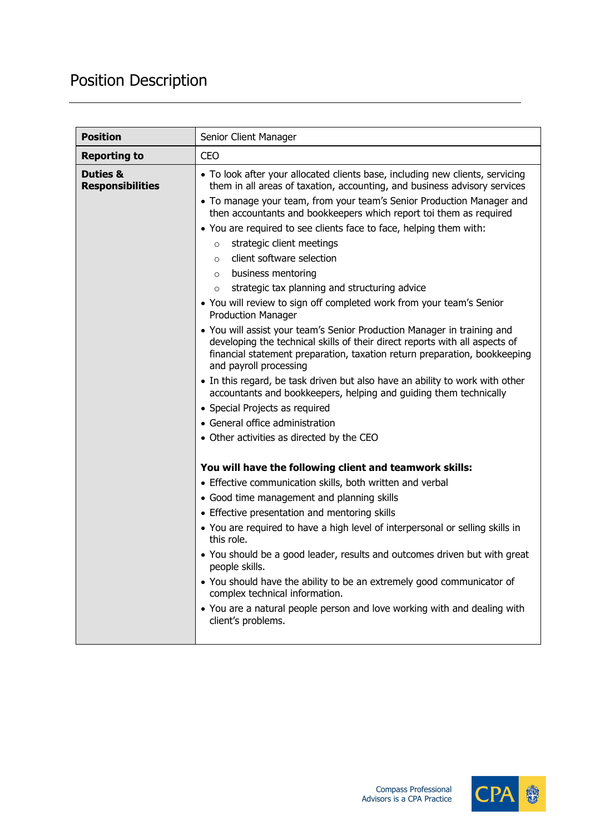## Position Description

| <b>Position</b>                                | Senior Client Manager                                                                                                                                                                                                                                         |
|------------------------------------------------|---------------------------------------------------------------------------------------------------------------------------------------------------------------------------------------------------------------------------------------------------------------|
| <b>Reporting to</b>                            | <b>CEO</b>                                                                                                                                                                                                                                                    |
| <b>Duties &amp;</b><br><b>Responsibilities</b> | • To look after your allocated clients base, including new clients, servicing<br>them in all areas of taxation, accounting, and business advisory services<br>• To manage your team, from your team's Senior Production Manager and                           |
|                                                | then accountants and bookkeepers which report toi them as required                                                                                                                                                                                            |
|                                                | • You are required to see clients face to face, helping them with:                                                                                                                                                                                            |
|                                                | strategic client meetings<br>$\circ$                                                                                                                                                                                                                          |
|                                                | client software selection<br>$\circ$                                                                                                                                                                                                                          |
|                                                | business mentoring<br>$\circ$                                                                                                                                                                                                                                 |
|                                                | strategic tax planning and structuring advice<br>$\circ$                                                                                                                                                                                                      |
|                                                | • You will review to sign off completed work from your team's Senior<br><b>Production Manager</b>                                                                                                                                                             |
|                                                | • You will assist your team's Senior Production Manager in training and<br>developing the technical skills of their direct reports with all aspects of<br>financial statement preparation, taxation return preparation, bookkeeping<br>and payroll processing |
|                                                | • In this regard, be task driven but also have an ability to work with other<br>accountants and bookkeepers, helping and guiding them technically                                                                                                             |
|                                                | • Special Projects as required                                                                                                                                                                                                                                |
|                                                | • General office administration                                                                                                                                                                                                                               |
|                                                | • Other activities as directed by the CEO                                                                                                                                                                                                                     |
|                                                | You will have the following client and teamwork skills:                                                                                                                                                                                                       |
|                                                | • Effective communication skills, both written and verbal                                                                                                                                                                                                     |
|                                                | • Good time management and planning skills                                                                                                                                                                                                                    |
|                                                | • Effective presentation and mentoring skills                                                                                                                                                                                                                 |
|                                                | • You are required to have a high level of interpersonal or selling skills in<br>this role.                                                                                                                                                                   |
|                                                | • You should be a good leader, results and outcomes driven but with great<br>people skills.                                                                                                                                                                   |
|                                                | • You should have the ability to be an extremely good communicator of<br>complex technical information.                                                                                                                                                       |
|                                                | • You are a natural people person and love working with and dealing with<br>client's problems.                                                                                                                                                                |